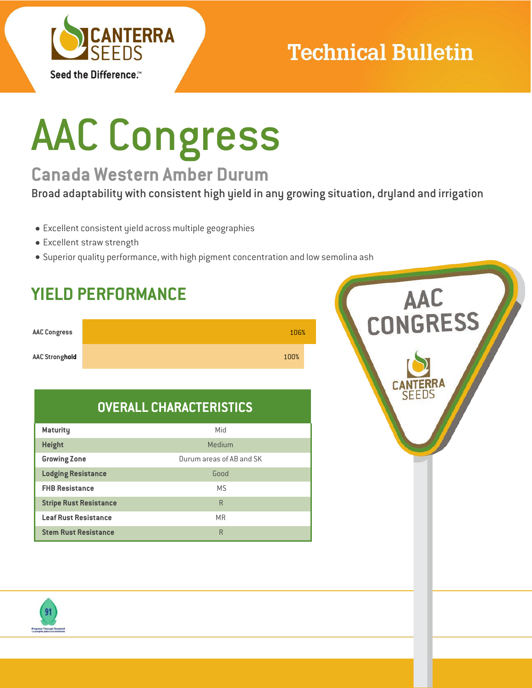

### **Technical Bulletin**

# AAC Congress

### **Canada Western Amber Durum**

Broad adaptability with consistent high yield in any growing situation, dryland and irrigation

- Excellent consistent yield acrossmultiple geographies
- Excellent straw strength
- Superior quality performance, with high pigment concentration and low semolina ash



### **OVERALL CHARACTERISTICS**

| <b>Maturity</b>               | Mid                      |
|-------------------------------|--------------------------|
| <b>Height</b>                 | Medium                   |
| <b>Growing Zone</b>           | Durum areas of AB and SK |
| <b>Lodging Resistance</b>     | Good                     |
| <b>FHB Resistance</b>         | M.S                      |
| <b>Stripe Rust Resistance</b> | R                        |
| <b>Leaf Rust Resistance</b>   | <b>MR</b>                |
| <b>Stem Rust Resistance</b>   | R                        |